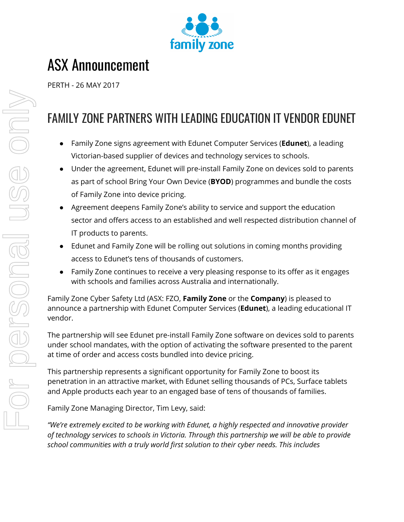

# ASX Announcement

PERTH - 26 MAY 2017

## FAMILY ZONE PARTNERS WITH LEADING EDUCATION IT VENDOR EDUNET

- Family Zone signs agreement with Edunet Computer Services (**Edunet**), a leading Victorian-based supplier of devices and technology services to schools.
- Under the agreement, Edunet will pre-install Family Zone on devices sold to parents as part of school Bring Your Own Device (**BYOD**) programmes and bundle the costs of Family Zone into device pricing.
- Agreement deepens Family Zone's ability to service and support the education sector and offers access to an established and well respected distribution channel of IT products to parents.
- Edunet and Family Zone will be rolling out solutions in coming months providing access to Edunet's tens of thousands of customers.
- Family Zone continues to receive a very pleasing response to its offer as it engages with schools and families across Australia and internationally.

Family Zone Cyber Safety Ltd (ASX: FZO, **Family Zone** or the **Company**) is pleased to announce a partnership with Edunet Computer Services (**Edunet**), a leading educational IT vendor.

The partnership will see Edunet pre-install Family Zone software on devices sold to parents under school mandates, with the option of activating the software presented to the parent at time of order and access costs bundled into device pricing.

This partnership represents a significant opportunity for Family Zone to boost its penetration in an attractive market, with Edunet selling thousands of PCs, Surface tablets and Apple products each year to an engaged base of tens of thousands of families.

Family Zone Managing Director, Tim Levy, said:

*"We're extremely excited to be working with Edunet, a highly respected and innovative provider of technology services to schools in Victoria. Through this partnership we will be able to provide school communities with a truly world first solution to their cyber needs. This includes*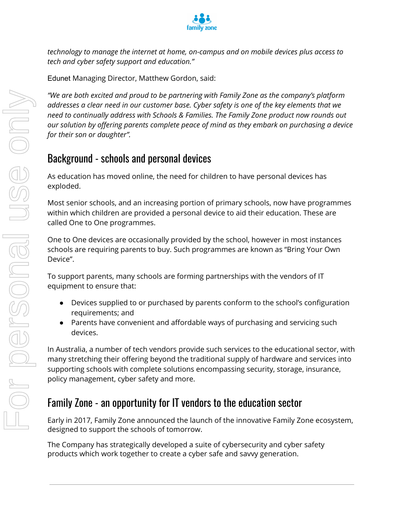

*technology to manage the internet at home, on-campus and on mobile devices plus access to tech and cyber safety support and education."*

Edunet Managing Director, Matthew Gordon, said:

*"We are both excited and proud to be partnering with Family Zone as the company's platform addresses a clear need in our customer base. Cyber safety is one of the key elements that we need to continually address with Schools & Families. The Family Zone product now rounds out our solution by offering parents complete peace of mind as they embark on purchasing a device for their son or daughter".* **Provide the exited and product be partnering with Family Zone os the complete and savy of the key elempted to continuolly oddress with Schools & Families. The Family Zone product now solution by gifering porents complete** 

#### Background - schools and personal devices

As education has moved online, the need for children to have personal devices has exploded.

Most senior schools, and an increasing portion of primary schools, now have programmes within which children are provided a personal device to aid their education. These are called One to One programmes.

One to One devices are occasionally provided by the school, however in most instances schools are requiring parents to buy. Such programmes are known as "Bring Your Own Device".

To support parents, many schools are forming partnerships with the vendors of IT equipment to ensure that:

- Devices supplied to or purchased by parents conform to the school's configuration requirements; and
- Parents have convenient and affordable ways of purchasing and servicing such devices.

In Australia, a number of tech vendors provide such services to the educational sector, with many stretching their offering beyond the traditional supply of hardware and services into supporting schools with complete solutions encompassing security, storage, insurance, policy management, cyber safety and more.

### Family Zone - an opportunity for IT vendors to the education sector

Early in 2017, Family Zone announced the launch of the innovative Family Zone ecosystem, designed to support the schools of tomorrow.

The Company has strategically developed a suite of cybersecurity and cyber safety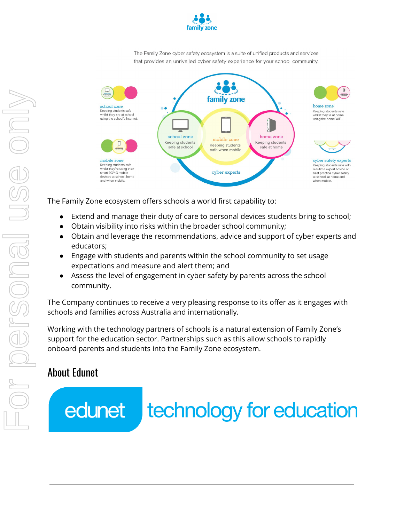

The Family Zone cyber safety ecosystem is a suite of unified products and services that provides an unrivalled cyber safety experience for your school community.



The Family Zone ecosystem offers schools a world first capability to:

- Extend and manage their duty of care to personal devices students bring to school;
- Obtain visibility into risks within the broader school community;
- Obtain and leverage the recommendations, advice and support of cyber experts and educators;
- Engage with students and parents within the school community to set usage expectations and measure and alert them; and
- Assess the level of engagement in cyber safety by parents across the school community.

The Company continues to receive a very pleasing response to its offer as it engages with schools and families across Australia and internationally.

Working with the technology partners of schools is a natural extension of Family Zone's support for the education sector. Partnerships such as this allow schools to rapidly onboard parents and students into the Family Zone ecosystem.

#### About Edunet

edunet technology for education